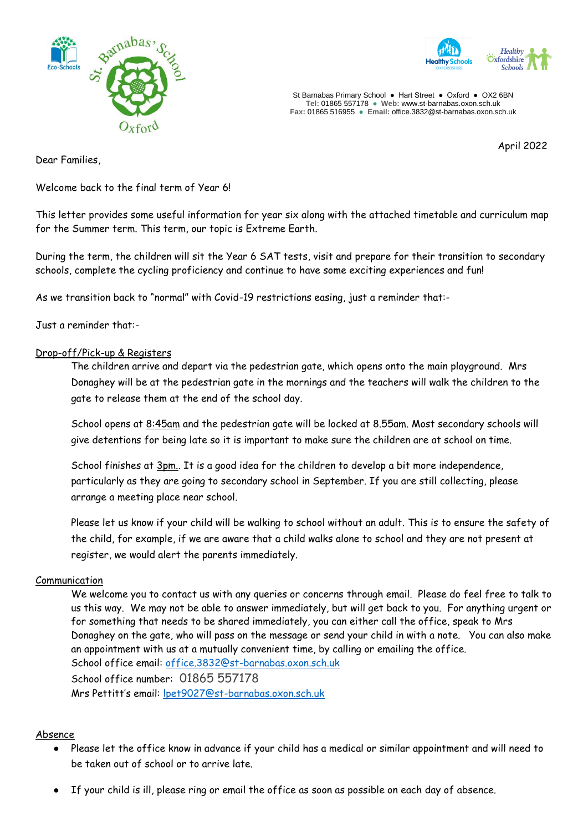



St Barnabas Primary School **●** Hart Street ● Oxford ● OX2 6BN **Tel:** 01865 557178 **● Web:** www.st-barnabas.oxon.sch.uk **Fax:** 01865 516955 ● **Email:** office.3832@st-barnabas.oxon.sch.uk

April 2022

Dear Families,

Welcome back to the final term of Year 6!

This letter provides some useful information for year six along with the attached timetable and curriculum map for the Summer term. This term, our topic is Extreme Earth.

During the term, the children will sit the Year 6 SAT tests, visit and prepare for their transition to secondary schools, complete the cycling proficiency and continue to have some exciting experiences and fun!

As we transition back to "normal" with Covid-19 restrictions easing, just a reminder that:-

Just a reminder that:-

#### Drop-off/Pick-up & Registers

The children arrive and depart via the pedestrian gate, which opens onto the main playground. Mrs Donaghey will be at the pedestrian gate in the mornings and the teachers will walk the children to the gate to release them at the end of the school day.

School opens at 8:45am and the pedestrian gate will be locked at 8.55am. Most secondary schools will give detentions for being late so it is important to make sure the children are at school on time.

School finishes at 3pm.. It is a good idea for the children to develop a bit more independence, particularly as they are going to secondary school in September. If you are still collecting, please arrange a meeting place near school.

Please let us know if your child will be walking to school without an adult. This is to ensure the safety of the child, for example, if we are aware that a child walks alone to school and they are not present at register, we would alert the parents immediately.

#### Communication

We welcome you to contact us with any queries or concerns through email. Please do feel free to talk to us this way. We may not be able to answer immediately, but will get back to you. For anything urgent or for something that needs to be shared immediately, you can either call the office, speak to Mrs Donaghey on the gate, who will pass on the message or send your child in with a note. You can also make an appointment with us at a mutually convenient time, by calling or emailing the office. School office email: [office.3832@st-barnabas.oxon.sch.uk](mailto:office.3832@st-barnabas.oxon.sch.uk) School office number: 01865 557178 Mrs Pettitt's email: [lpet9027@st-barnabas.oxon.sch.uk](mailto:lpet9027@st-barnabas.oxon.sch.uk)

#### Absence

- Please let the office know in advance if your child has a medical or similar appointment and will need to be taken out of school or to arrive late.
- If your child is ill, please ring or email the office as soon as possible on each day of absence.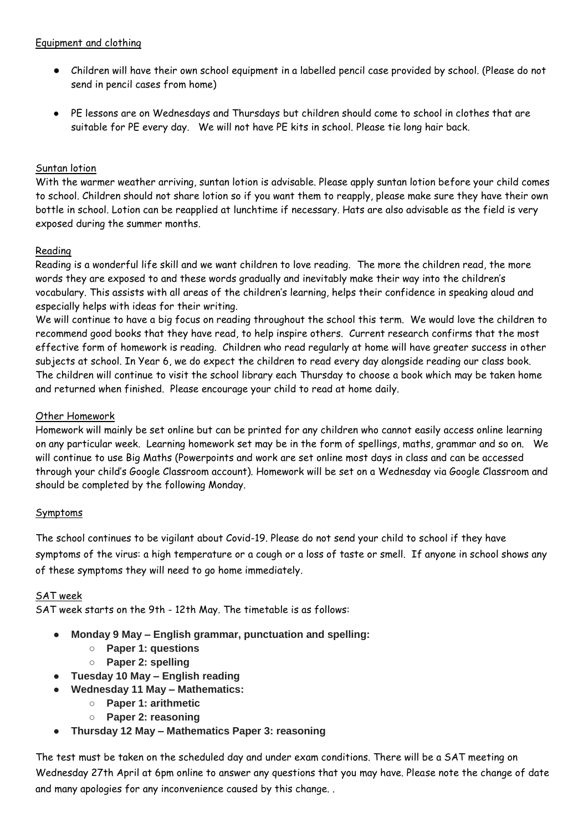- Children will have their own school equipment in a labelled pencil case provided by school. (Please do not send in pencil cases from home)
- PE lessons are on Wednesdays and Thursdays but children should come to school in clothes that are suitable for PE every day. We will not have PE kits in school. Please tie long hair back.

## Suntan lotion

With the warmer weather arriving, suntan lotion is advisable. Please apply suntan lotion before your child comes to school. Children should not share lotion so if you want them to reapply, please make sure they have their own bottle in school. Lotion can be reapplied at lunchtime if necessary. Hats are also advisable as the field is very exposed during the summer months.

# Reading

Reading is a wonderful life skill and we want children to love reading. The more the children read, the more words they are exposed to and these words gradually and inevitably make their way into the children's vocabulary. This assists with all areas of the children's learning, helps their confidence in speaking aloud and especially helps with ideas for their writing.

We will continue to have a big focus on reading throughout the school this term. We would love the children to recommend good books that they have read, to help inspire others. Current research confirms that the most effective form of homework is reading. Children who read regularly at home will have greater success in other subjects at school. In Year 6, we do expect the children to read every day alongside reading our class book. The children will continue to visit the school library each Thursday to choose a book which may be taken home and returned when finished. Please encourage your child to read at home daily.

### Other Homework

Homework will mainly be set online but can be printed for any children who cannot easily access online learning on any particular week. Learning homework set may be in the form of spellings, maths, grammar and so on. We will continue to use Big Maths (Powerpoints and work are set online most days in class and can be accessed through your child's Google Classroom account). Homework will be set on a Wednesday via Google Classroom and should be completed by the following Monday.

### Symptoms

The school continues to be vigilant about Covid-19. Please do not send your child to school if they have symptoms of the virus: a high temperature or a cough or a loss of taste or smell. If anyone in school shows any of these symptoms they will need to go home immediately.

### SAT week

SAT week starts on the 9th - 12th May. The timetable is as follows:

- **Monday 9 May – English grammar, punctuation and spelling:**
	- **Paper 1: questions**
	- **Paper 2: spelling**
- **Tuesday 10 May – English reading**
	- **Wednesday 11 May – Mathematics:**
		- **Paper 1: arithmetic**
		- **Paper 2: reasoning**
- **Thursday 12 May – Mathematics Paper 3: reasoning**

The test must be taken on the scheduled day and under exam conditions. There will be a SAT meeting on Wednesday 27th April at 6pm online to answer any questions that you may have. Please note the change of date and many apologies for any inconvenience caused by this change. .